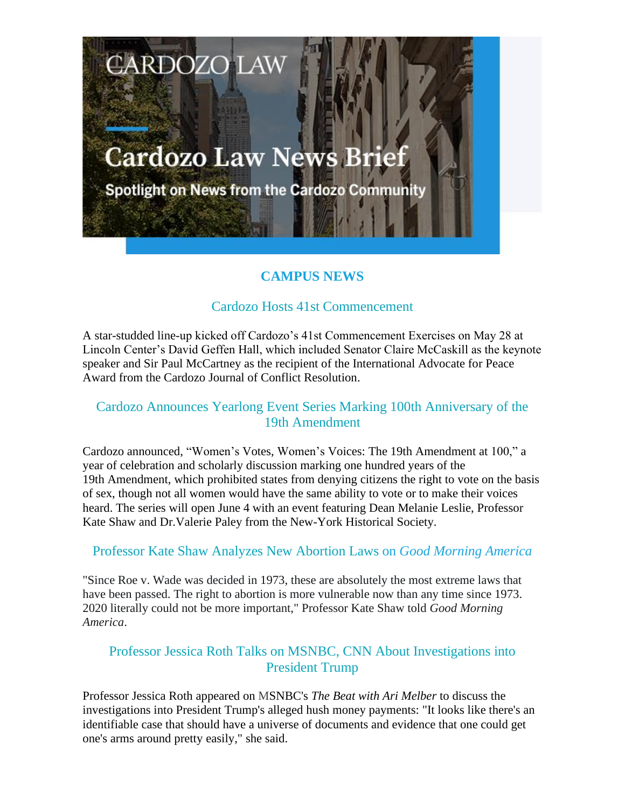# **Cardozo Law News Brief**

**CARDOZO LAW** 

Spotlight on News from the Cardozo Community

# **CAMPUS NEWS**

#### Cardozo Hosts 41st Commencement

A star-studded line-up kicked off Cardozo's 41st Commencement Exercises on May 28 at Lincoln Center's David Geffen Hall, which included Senator Claire McCaskill as the keynote speaker and Sir Paul McCartney as the recipient of the International Advocate for Peace Award from the Cardozo Journal of Conflict Resolution.

### Cardozo Announces Yearlong Event Series Marking 100th Anniversary of the 19th Amendment

Cardozo announced, "Women's Votes, Women's Voices: The 19th Amendment at 100," a year of celebration and scholarly discussion marking one hundred years of the 19th Amendment, which prohibited states from denying citizens the right to vote on the basis of sex, though not all women would have the same ability to vote or to make their voices heard. The series will open June 4 with an event featuring Dean Melanie Leslie, Professor Kate Shaw and Dr.Valerie Paley from the New-York Historical Society.

#### Professor Kate Shaw Analyzes New Abortion Laws on *Good Morning America*

"Since Roe v. Wade was decided in 1973, these are absolutely the most extreme laws that have been passed. The right to abortion is more vulnerable now than any time since 1973. 2020 literally could not be more important," Professor Kate Shaw told *Good Morning America*.

# Professor Jessica Roth Talks on MSNBC, CNN About Investigations into President Trump

Professor Jessica Roth appeared on MSNBC's *The Beat with Ari Melber* to discuss the investigations into President Trump's alleged hush money payments: "It looks like there's an identifiable case that should have a universe of documents and evidence that one could get one's arms around pretty easily," she said.